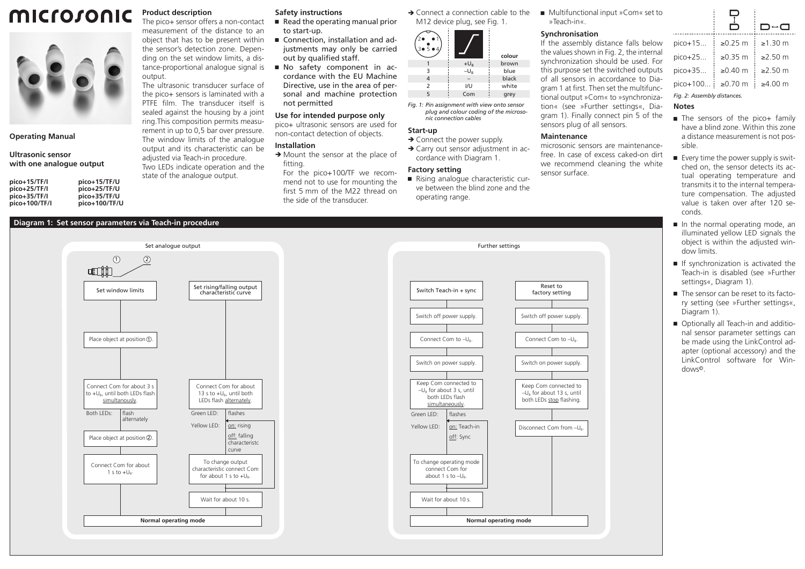#### microsonic **Product description** The pico+ sensor offers a non-contact measurement of the distance to an



**Operating Manual**

#### **Ultrasonic sensor with one analogue output**

| pico+15/TF/U  |
|---------------|
| pico+25/TF/U  |
| pico+35/TF/U  |
| pico+100/TF/U |
|               |

## **Diagram 1: Set sensor parameters via Teach-in procedure**

# **Safety instructions**

- $\blacksquare$  Read the operating manual prior to start-up.
- Connection, installation and adjustments may only be carried out by qualified staff.
- Ԏ No safety component in accordance with the EU Machine Directive, use in the area of personal and machine protection not permitted

# **Use for intended purpose only**

pico+ ultrasonic sensors are used for non-contact detection of objects.

### **Installation**

 $\rightarrow$  Mount the sensor at the place of fitting.

For the pico+100/TF we recommend not to use for mounting the first 5 mm of the M22 thread on the side of the transducer.

 $\rightarrow$  Connect a connection cable to the M12 device plug, see Fig. 1.

| $5 \bullet 4$<br>3, |          | colour |
|---------------------|----------|--------|
|                     | $+U_{B}$ | brown  |
| 3                   | $-U_{R}$ | blue   |
| 4                   |          | black  |
| $\overline{2}$      | I/U      | white  |
| 5                   | Com      | grey   |

*Fig. 1: Pin assignment with view onto sensor plug and colour coding of the microsonic connection cables*

## **Start-up**

 $\rightarrow$  Connect the power supply.  $\rightarrow$  Carry out sensor adjustment in ac-

cordance with Diagram 1.

# **Factory setting**

■ Rising analogue characteristic curve between the blind zone and the operating range.

■ Multifunctional input »Com« set to »Teach-in«.

#### **Synchronisation**

If the assembly distance falls below the values shown in Fig. 2, the internal synchronization should be used. For this purpose set the switched outputs of all sensors in accordance to Diagram 1 at first. Then set the multifunctional output »Com« to »synchronization« (see »Further settings«, Diagram 1). Finally connect pin 5 of the sensors plug of all sensors.

# **Maintenance**

microsonic sensors are maintenancefree. In case of excess caked-on dirt we recommend cleaning the white sensor surface.

|                             |               | □↔□           |  |  |
|-----------------------------|---------------|---------------|--|--|
| pico+15                     | $\geq 0.25$ m | $\geq 1.30$ m |  |  |
| $pico+25$                   | $\geq$ 0.35 m | $>250$ m      |  |  |
| pico+35                     | ≥ $0.40$ m    | ≥2.50 m       |  |  |
| pico+100                    | ≥ $0.70$ m    | ≥4.00 m       |  |  |
| Fig. 2: Assembly distances. |               |               |  |  |
| Notes                       |               |               |  |  |

- The sensors of the pico+ family have a blind zone. Within this zone a distance measurement is not possible.
- $\blacksquare$  Every time the power supply is switched on, the sensor detects its actual operating temperature and transmits it to the internal temperature compensation. The adjusted value is taken over after 120 seconds.
- In the normal operating mode, an illuminated yellow LED signals the object is within the adjusted window limits.
- Ԏ If synchronization is activated the Teach-in is disabled (see »Further settings«, Diagram 1).
- The sensor can be reset to its factory setting (see »Further settings«, Diagram 1).
- Optionally all Teach-in and additional sensor parameter settings can be made using the LinkControl adapter (optional accessory) and the LinkControl software for Windows©.



object that has to be present within the sensor's detection zone. Depending on the set window limits, a distance-proportional analogue signal is

The ultrasonic transducer surface of the pico+ sensors is laminated with a PTFE film. The transducer itself is sealed against the housing by a joint ring.This composition permits measurement in up to 0,5 bar over pressure. The window limits of the analogue output and its characteristic can be adjusted via Teach-in procedure. Two LEDs indicate operation and the state of the analogue output.

output.